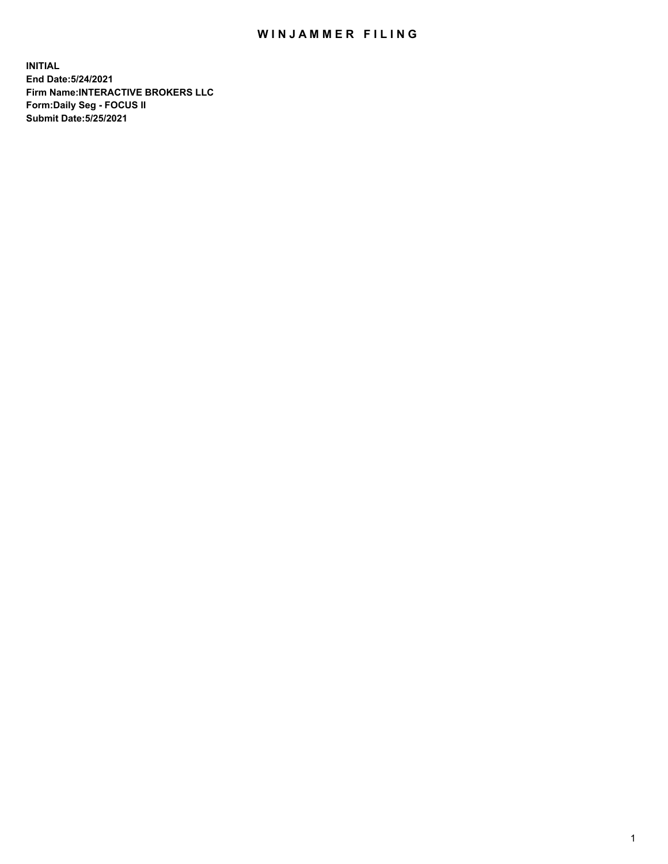## WIN JAMMER FILING

**INITIAL End Date:5/24/2021 Firm Name:INTERACTIVE BROKERS LLC Form:Daily Seg - FOCUS II Submit Date:5/25/2021**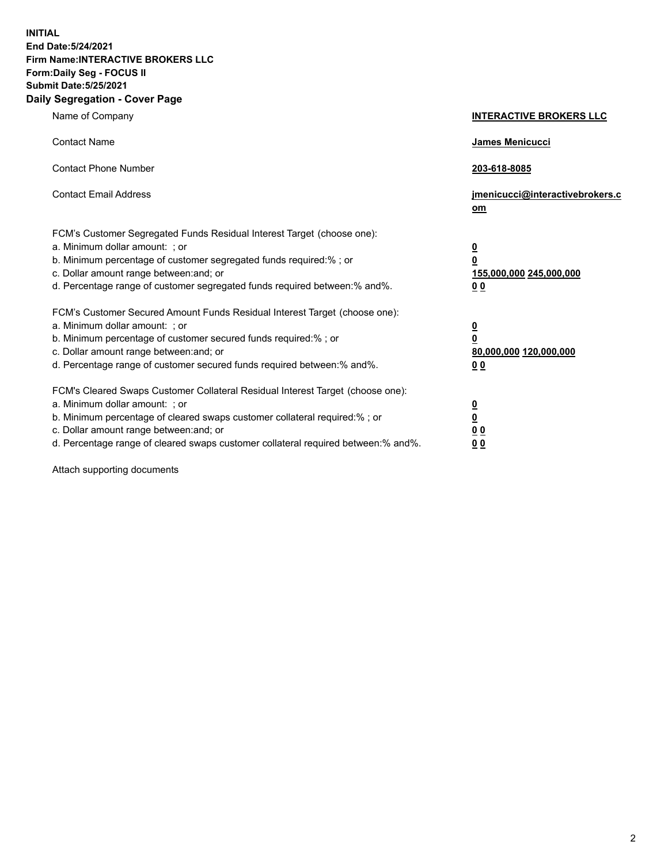**INITIAL End Date:5/24/2021 Firm Name:INTERACTIVE BROKERS LLC Form:Daily Seg - FOCUS II Submit Date:5/25/2021 Daily Segregation - Cover Page**

| Name of Company                                                                                                                                                                                                                                                                                                                | <b>INTERACTIVE BROKERS LLC</b>                                                   |  |
|--------------------------------------------------------------------------------------------------------------------------------------------------------------------------------------------------------------------------------------------------------------------------------------------------------------------------------|----------------------------------------------------------------------------------|--|
| <b>Contact Name</b>                                                                                                                                                                                                                                                                                                            | James Menicucci                                                                  |  |
| <b>Contact Phone Number</b>                                                                                                                                                                                                                                                                                                    | 203-618-8085                                                                     |  |
| <b>Contact Email Address</b>                                                                                                                                                                                                                                                                                                   | jmenicucci@interactivebrokers.c<br>om                                            |  |
| FCM's Customer Segregated Funds Residual Interest Target (choose one):<br>a. Minimum dollar amount: ; or<br>b. Minimum percentage of customer segregated funds required:% ; or<br>c. Dollar amount range between: and; or<br>d. Percentage range of customer segregated funds required between:% and%.                         | <u>0</u><br>$\overline{\mathbf{0}}$<br>155,000,000 245,000,000<br>0 <sub>0</sub> |  |
| FCM's Customer Secured Amount Funds Residual Interest Target (choose one):<br>a. Minimum dollar amount: ; or<br>b. Minimum percentage of customer secured funds required:% ; or<br>c. Dollar amount range between: and; or<br>d. Percentage range of customer secured funds required between:% and%.                           | <u>0</u><br>$\overline{\mathbf{0}}$<br>80,000,000 120,000,000<br>0 <sub>0</sub>  |  |
| FCM's Cleared Swaps Customer Collateral Residual Interest Target (choose one):<br>a. Minimum dollar amount: ; or<br>b. Minimum percentage of cleared swaps customer collateral required:% ; or<br>c. Dollar amount range between: and; or<br>d. Percentage range of cleared swaps customer collateral required between:% and%. | <u>0</u><br>$\underline{\mathbf{0}}$<br>0 <sub>0</sub><br>0 <sub>0</sub>         |  |

Attach supporting documents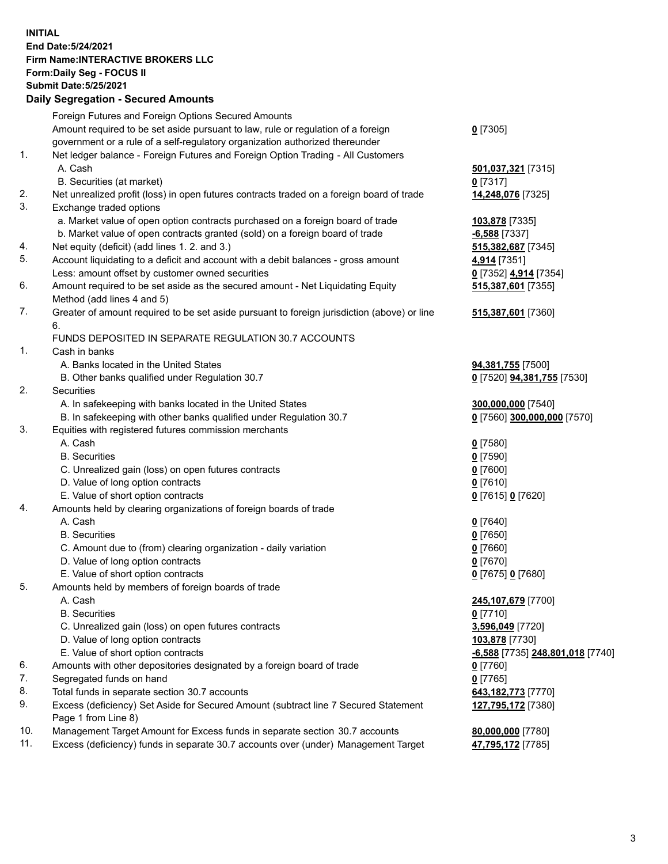**INITIAL End Date:5/24/2021 Firm Name:INTERACTIVE BROKERS LLC Form:Daily Seg - FOCUS II Submit Date:5/25/2021 Daily Segregation - Secured Amounts**

## Foreign Futures and Foreign Options Secured Amounts Amount required to be set aside pursuant to law, rule or regulation of a foreign government or a rule of a self-regulatory organization authorized thereunder **0** [7305] 1. Net ledger balance - Foreign Futures and Foreign Option Trading - All Customers A. Cash **501,037,321** [7315] B. Securities (at market) **0** [7317] 2. Net unrealized profit (loss) in open futures contracts traded on a foreign board of trade **14,248,076** [7325] 3. Exchange traded options a. Market value of open option contracts purchased on a foreign board of trade **103,878** [7335] b. Market value of open contracts granted (sold) on a foreign board of trade **-6,588** [7337] 4. Net equity (deficit) (add lines 1. 2. and 3.) **515,382,687** [7345] 5. Account liquidating to a deficit and account with a debit balances - gross amount **4,914** [7351] Less: amount offset by customer owned securities **0** [7352] **4,914** [7354] 6. Amount required to be set aside as the secured amount - Net Liquidating Equity Method (add lines 4 and 5) **515,387,601** [7355] 7. Greater of amount required to be set aside pursuant to foreign jurisdiction (above) or line 6. **515,387,601** [7360] FUNDS DEPOSITED IN SEPARATE REGULATION 30.7 ACCOUNTS 1. Cash in banks A. Banks located in the United States **94,381,755** [7500] B. Other banks qualified under Regulation 30.7 **0** [7520] **94,381,755** [7530] 2. Securities A. In safekeeping with banks located in the United States **300,000,000** [7540] B. In safekeeping with other banks qualified under Regulation 30.7 **0** [7560] **300,000,000** [7570] 3. Equities with registered futures commission merchants A. Cash **0** [7580] B. Securities **0** [7590] C. Unrealized gain (loss) on open futures contracts **0** [7600] D. Value of long option contracts **0** [7610] E. Value of short option contracts **0** [7615] **0** [7620] 4. Amounts held by clearing organizations of foreign boards of trade A. Cash **0** [7640] B. Securities **0** [7650] C. Amount due to (from) clearing organization - daily variation **0** [7660] D. Value of long option contracts **0** [7670] E. Value of short option contracts **0** [7675] **0** [7680] 5. Amounts held by members of foreign boards of trade A. Cash **245,107,679** [7700] B. Securities **0** [7710] C. Unrealized gain (loss) on open futures contracts **3,596,049** [7720] D. Value of long option contracts **103,878** [7730] E. Value of short option contracts **-6,588** [7735] **248,801,018** [7740] 6. Amounts with other depositories designated by a foreign board of trade **0** [7760] 7. Segregated funds on hand **0** [7765] 8. Total funds in separate section 30.7 accounts **643,182,773** [7770] 9. Excess (deficiency) Set Aside for Secured Amount (subtract line 7 Secured Statement Page 1 from Line 8) **127,795,172** [7380] 10. Management Target Amount for Excess funds in separate section 30.7 accounts **80,000,000** [7780] 11. Excess (deficiency) funds in separate 30.7 accounts over (under) Management Target **47,795,172** [7785]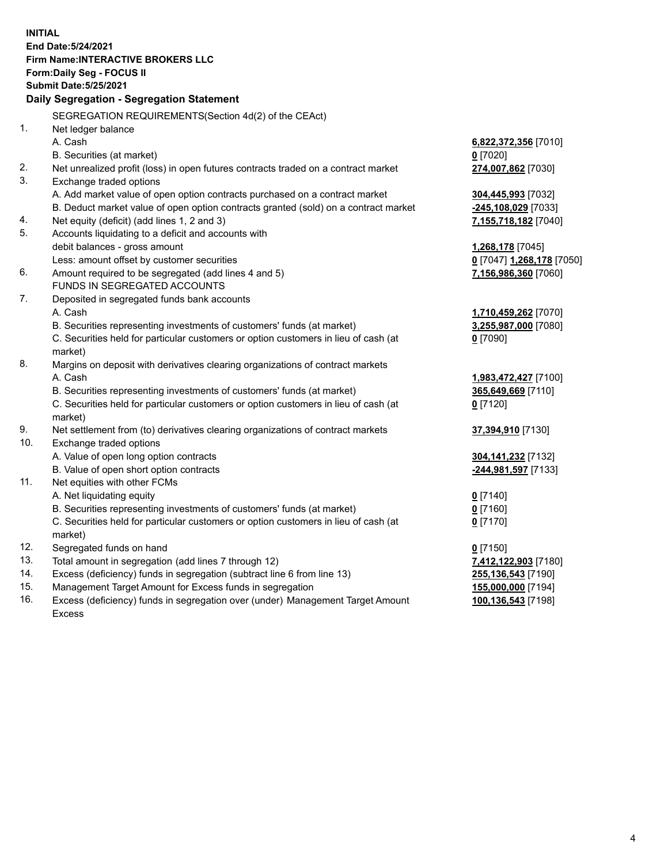**INITIAL End Date:5/24/2021 Firm Name:INTERACTIVE BROKERS LLC Form:Daily Seg - FOCUS II Submit Date:5/25/2021 Daily Segregation - Segregation Statement** SEGREGATION REQUIREMENTS(Section 4d(2) of the CEAct) 1. Net ledger balance A. Cash **6,822,372,356** [7010] B. Securities (at market) **0** [7020] 2. Net unrealized profit (loss) in open futures contracts traded on a contract market **274,007,862** [7030] 3. Exchange traded options A. Add market value of open option contracts purchased on a contract market **304,445,993** [7032] B. Deduct market value of open option contracts granted (sold) on a contract market **-245,108,029** [7033] 4. Net equity (deficit) (add lines 1, 2 and 3) **7,155,718,182** [7040] 5. Accounts liquidating to a deficit and accounts with debit balances - gross amount **1,268,178** [7045] Less: amount offset by customer securities **0** [7047] **1,268,178** [7050] 6. Amount required to be segregated (add lines 4 and 5) **7,156,986,360** [7060] FUNDS IN SEGREGATED ACCOUNTS 7. Deposited in segregated funds bank accounts A. Cash **1,710,459,262** [7070] B. Securities representing investments of customers' funds (at market) **3,255,987,000** [7080] C. Securities held for particular customers or option customers in lieu of cash (at market) **0** [7090] 8. Margins on deposit with derivatives clearing organizations of contract markets A. Cash **1,983,472,427** [7100] B. Securities representing investments of customers' funds (at market) **365,649,669** [7110] C. Securities held for particular customers or option customers in lieu of cash (at market) **0** [7120] 9. Net settlement from (to) derivatives clearing organizations of contract markets **37,394,910** [7130] 10. Exchange traded options A. Value of open long option contracts **304,141,232** [7132] B. Value of open short option contracts **-244,981,597** [7133] 11. Net equities with other FCMs A. Net liquidating equity **0** [7140] B. Securities representing investments of customers' funds (at market) **0** [7160] C. Securities held for particular customers or option customers in lieu of cash (at market) **0** [7170] 12. Segregated funds on hand **0** [7150] 13. Total amount in segregation (add lines 7 through 12) **7,412,122,903** [7180] 14. Excess (deficiency) funds in segregation (subtract line 6 from line 13) **255,136,543** [7190] 15. Management Target Amount for Excess funds in segregation **155,000,000** [7194] 16. Excess (deficiency) funds in segregation over (under) Management Target Amount Excess **100,136,543** [7198]